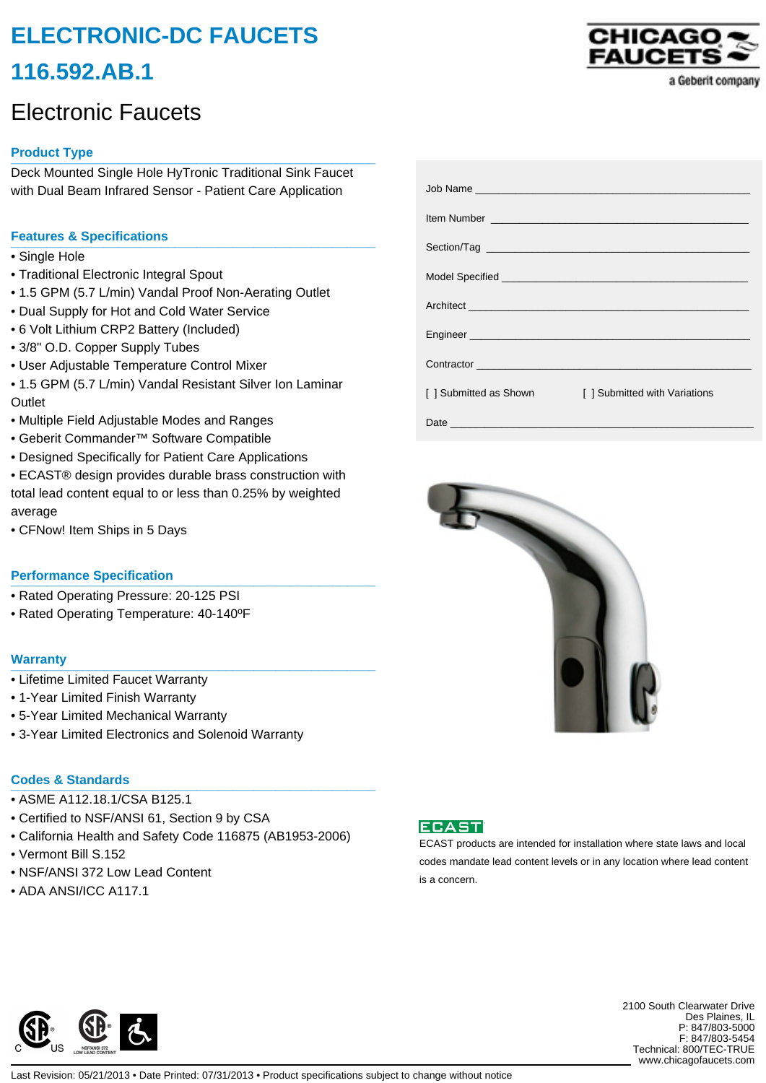# **ELECTRONIC-DC FAUCETS 116.592.AB.1**

## Electronic Faucets

## **Product Type \_\_\_\_\_\_\_\_\_\_\_\_\_\_\_\_\_\_\_\_\_\_\_\_\_\_\_\_\_\_\_\_\_\_\_\_\_\_\_\_\_\_\_\_\_\_\_\_\_\_\_**

Deck Mounted Single Hole HyTronic Traditional Sink Faucet with Dual Beam Infrared Sensor - Patient Care Application

## **Features & Specifications \_\_\_\_\_\_\_\_\_\_\_\_\_\_\_\_\_\_\_\_\_\_\_\_\_\_\_\_\_\_\_\_\_\_\_\_\_\_\_\_\_\_\_\_\_\_\_\_\_\_\_**

- Single Hole
- Traditional Electronic Integral Spout
- 1.5 GPM (5.7 L/min) Vandal Proof Non-Aerating Outlet
- Dual Supply for Hot and Cold Water Service
- 6 Volt Lithium CRP2 Battery (Included)
- 3/8" O.D. Copper Supply Tubes
- User Adjustable Temperature Control Mixer
- 1.5 GPM (5.7 L/min) Vandal Resistant Silver Ion Laminar **Outlet**
- Multiple Field Adjustable Modes and Ranges
- Geberit Commander™ Software Compatible
- Designed Specifically for Patient Care Applications
- ECAST® design provides durable brass construction with total lead content equal to or less than 0.25% by weighted average
- CFNow! Item Ships in 5 Days

#### **Performance Specification**

- Rated Operating Pressure: 20-125 PSI
- Rated Operating Temperature: 40-140ºF

#### **Warranty \_\_\_\_\_\_\_\_\_\_\_\_\_\_\_\_\_\_\_\_\_\_\_\_\_\_\_\_\_\_\_\_\_\_\_\_\_\_\_\_\_\_\_\_\_\_\_\_\_\_\_**

- Lifetime Limited Faucet Warranty
- 1-Year Limited Finish Warranty
- 5-Year Limited Mechanical Warranty
- 3-Year Limited Electronics and Solenoid Warranty

### **Codes & Standards \_\_\_\_\_\_\_\_\_\_\_\_\_\_\_\_\_\_\_\_\_\_\_\_\_\_\_\_\_\_\_\_\_\_\_\_\_\_\_\_\_\_\_\_\_\_\_\_\_\_\_**

- ASME A112.18.1/CSA B125.1
- Certified to NSF/ANSI 61, Section 9 by CSA
- California Health and Safety Code 116875 (AB1953-2006)
- Vermont Bill S.152
- NSF/ANSI 372 Low Lead Content
- ADA ANSI/ICC A117.1

|                                            | Item Number <u>experience and the series of the series of the series of the series of the series of the series of the series of the series of the series of the series of the series of the series of the series of the series o</u> |
|--------------------------------------------|--------------------------------------------------------------------------------------------------------------------------------------------------------------------------------------------------------------------------------------|
|                                            |                                                                                                                                                                                                                                      |
|                                            |                                                                                                                                                                                                                                      |
|                                            |                                                                                                                                                                                                                                      |
|                                            |                                                                                                                                                                                                                                      |
|                                            |                                                                                                                                                                                                                                      |
|                                            |                                                                                                                                                                                                                                      |
|                                            |                                                                                                                                                                                                                                      |
|                                            |                                                                                                                                                                                                                                      |
| [ ] Submitted as Shown<br><u> Maria Ba</u> | [] Submitted with Variations                                                                                                                                                                                                         |
|                                            |                                                                                                                                                                                                                                      |
|                                            |                                                                                                                                                                                                                                      |





ECAST products are intended for installation where state laws and local codes mandate lead content levels or in any location where lead content is a concern.



2100 South Clearwater Drive Des Plaines, IL P: 847/803-5000 F: 847/803-5454 Technical: 800/TEC-TRUE www.chicagofaucets.com

Last Revision: 05/21/2013 • Date Printed: 07/31/2013 • Product specifications subject to change without notice